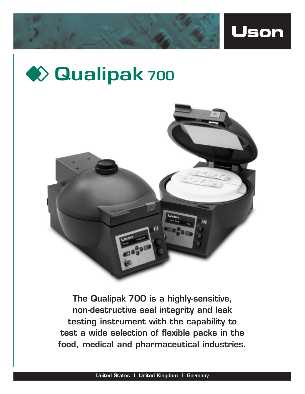





**The Qualipak 700 is a highly-sensitive, non-destructive seal integrity and leak testing instrument with the capability to test a wide selection of flexible packs in the food, medical and pharmaceutical industries.**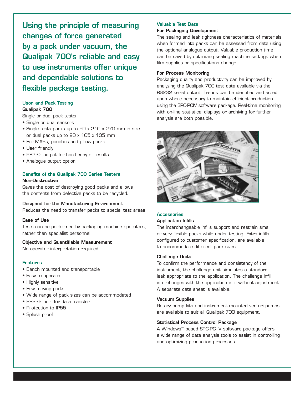**Using the principle of measuring changes of force generated by a pack under vacuum, the Qualipak 700's reliable and easy to use instruments offer unique and dependable solutions to flexible package testing.**

## **Uson and Pack Testing**

## **Qualipak 700**

Single or dual pack tester

- Single or dual sensors
- Single tests packs up to 90 x 210 x 270 mm in size or dual packs up to 90 x 105 x 135 mm
- For MAPs, pouches and pillow packs
- User friendly
- RS232 output for hard copy of results
- Analogue output option

#### **Benefits of the Qualipak 700 Series Testers Non-Destructive**

Saves the cost of destroying good packs and allows the contents from defective packs to be recycled.

#### **Designed for the Manufacturing Environment**

Reduces the need to transfer packs to special test areas.

## **Ease of Use**

Tests can be performed by packaging machine operators, rather than specialist personnel.

#### **Objective and Quantifiable Measurement**

No operator interpretation required.

## **Features**

- Bench mounted and transportable
- Easy to operate
- Highly sensitive
- Few moving parts
- Wide range of pack sizes can be accommodated
- RS232 port for data transfer
- Protection to IP55
- Splash proof

# **Valuable Test Data**

## **For Packaging Development**

The sealing and leak tightness characteristics of materials when formed into packs can be assessed from data using the optional analogue output. Valuable production time can be saved by optimizing sealing machine settings when film supplies or specifications change.

## **For Process Monitoring**

Packaging quality and productivity can be improved by analyzing the Qualipak 700 test data available via the RS232 serial output. Trends can be identified and acted upon where necessary to maintain efficient production using the SPC-PCIV software package. Real-time monitoring with on-line statistical displays or archiving for further analysis are both possible.



## **Accessories**

## **Application Infills**

The interchangeable infills support and restrain small or very flexible packs while under testing. Extra infills, configured to customer specification, are available to accommodate different pack sizes.

#### **Challenge Units**

To confirm the performance and consistency of the instrument, the challenge unit simulates a standard leak appropriate to the application. The challenge infill interchanges with the application infill without adjustment. A separate data sheet is available.

#### **Vacuum Supplies**

Rotary pump kits and instrument mounted venturi pumps are available to suit all Qualipak 700 equipment.

#### **Statistical Process Control Package**

A Windows<sup>™</sup> based SPC-PC IV software package offers a wide range of data analysis tools to assist in controlling and optimizing production processes.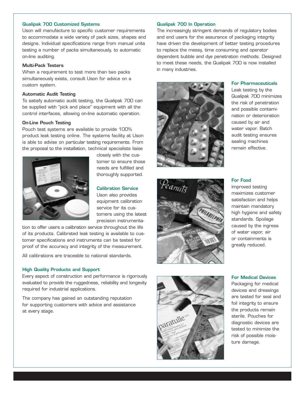## **Qualipak 700 Customized Systems**

Uson will manufacture to specific customer requirements to accommodate a wide variety of pack sizes, shapes and designs. Individual specifications range from manual units testing a number of packs simultaneously, to automatic on-line auditing.

## **Multi-Pack Testers**

When a requirement to test more than two packs simultaneously exists, consult Uson for advice on a custom system.

#### **Automatic Audit Testing**

To satisfy automatic audit testing, the Qualipak 700 can be supplied with "pick and place" equipment with all the control interfaces, allowing on-line automatic operation.

## **On-Line Pouch Testing**

Pouch test systems are available to provide 100% product leak testing online. The systems facility at Uson is able to advise on particular testing requirements. From the proposal to the installation, technical specialists liaise



closely with the customer to ensure those needs are fulfilled and thoroughly supported.

#### **Calibration Service**

Uson also provides equipment calibration service for its customers using the latest precision instrumenta-

tion to offer users a calibration service throughout the life of its products. Calibrated leak testing is available to customer specifications and instruments can be tested for proof of the accuracy and integrity of the measurement.

All calibrations are traceable to national standards.

#### **High Quality Products and Support**

Every aspect of construction and performance is rigorously evaluated to provide the ruggedness, reliability and longevity required for industrial applications.

The company has gained an outstanding reputation for supporting customers with advice and assistance at every stage.

### **Qualipak 700 In Operation**

The increasingly stringent demands of regulatory bodies and end users for the assurance of packaging integrity have driven the development of better testing procedures to replace the messy, time consuming and operator dependent bubble and dye penetration methods. Designed to meet these needs, the Qualipak 700 is now installed in many industries.



Leak testing by the Qualipak 700 minimizes the risk of penetration and possible contamination or deterioration caused by air and water vapor. Batch audit testing ensures sealing machines remain effective.

**For Pharmaceuticals**





## **For Food**

Improved testing maximizes customer satisfaction and helps maintain mandatory high hygiene and safety standards. Spoilage caused by the ingress of water vapor, air or containments is greatly reduced.

#### **For Medical Devices**

Packaging for medical devices and dressings are tested for seal and foil integrity to ensure the products remain sterile. Pouches for diagnostic devices are tested to minimize the risk of possible moisture damage.